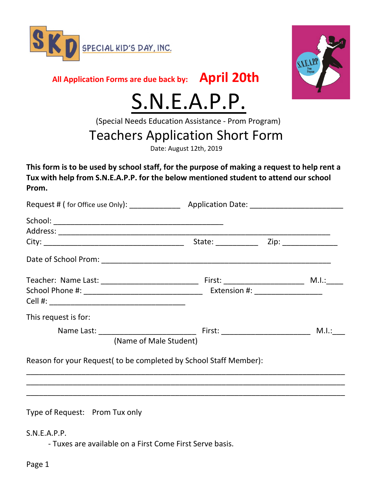



**All Application Forms are due back by: April 20th**

# S.N.E.A.P.P.<br>(Special Needs Education Assistance - Prom Program)

## Teachers Application Short Form

Date: August 12th, 2019

**This form is to be used by school staff, for the purpose of making a request to help rent a Tux with help from S.N.E.A.P.P. for the below mentioned student to attend our school Prom.**

| This request is for:                                              |  |  |       |
|-------------------------------------------------------------------|--|--|-------|
|                                                                   |  |  | M.I.: |
| (Name of Male Student)                                            |  |  |       |
| Reason for your Request (to be completed by School Staff Member): |  |  |       |
|                                                                   |  |  |       |
|                                                                   |  |  |       |
|                                                                   |  |  |       |

Type of Request: Prom Tux only

#### S.N.E.A.P.P.

- Tuxes are available on a First Come First Serve basis.